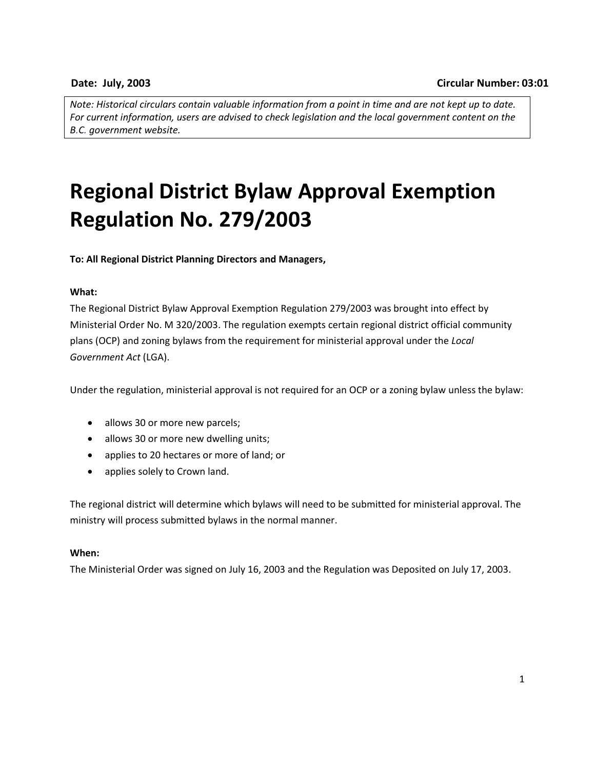*Note: Historical circulars contain valuable information from a point in time and are not kept up to date. For current information, users are advised to check legislation and the local government content on the B.C. government website.*

# **Regional District Bylaw Approval Exemption Regulation No. 279/2003**

**To: All Regional District Planning Directors and Managers,**

# **What:**

The Regional District Bylaw Approval Exemption Regulation 279/2003 was brought into effect by Ministerial Order No. M 320/2003. The regulation exempts certain regional district official community plans (OCP) and zoning bylaws from the requirement for ministerial approval under the *Local Government Act* (LGA).

Under the regulation, ministerial approval is not required for an OCP or a zoning bylaw unless the bylaw:

- allows 30 or more new parcels;
- allows 30 or more new dwelling units;
- applies to 20 hectares or more of land; or
- applies solely to Crown land.

The regional district will determine which bylaws will need to be submitted for ministerial approval. The ministry will process submitted bylaws in the normal manner.

#### **When:**

The Ministerial Order was signed on July 16, 2003 and the Regulation was Deposited on July 17, 2003.